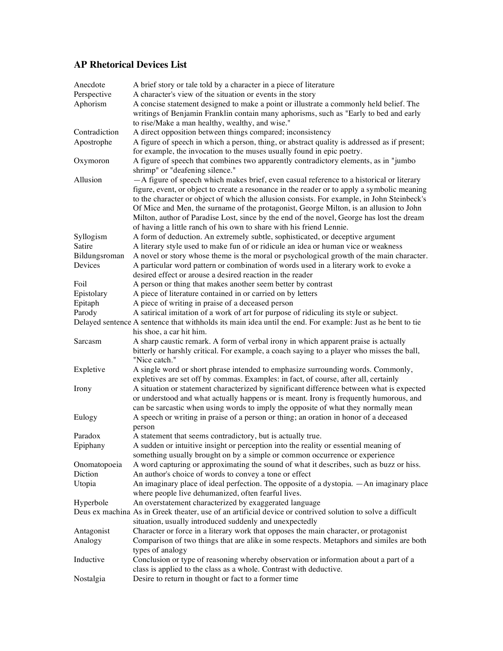## **AP Rhetorical Devices List**

| Anecdote<br>Perspective | A brief story or tale told by a character in a piece of literature<br>A character's view of the situation or events in the story                                                                                                                                                                                                                                                                                                                          |
|-------------------------|-----------------------------------------------------------------------------------------------------------------------------------------------------------------------------------------------------------------------------------------------------------------------------------------------------------------------------------------------------------------------------------------------------------------------------------------------------------|
| Aphorism                | A concise statement designed to make a point or illustrate a commonly held belief. The<br>writings of Benjamin Franklin contain many aphorisms, such as "Early to bed and early                                                                                                                                                                                                                                                                           |
| Contradiction           | to rise/Make a man healthy, wealthy, and wise."                                                                                                                                                                                                                                                                                                                                                                                                           |
| Apostrophe              | A direct opposition between things compared; inconsistency<br>A figure of speech in which a person, thing, or abstract quality is addressed as if present;<br>for example, the invocation to the muses usually found in epic poetry.                                                                                                                                                                                                                      |
| Oxymoron                | A figure of speech that combines two apparently contradictory elements, as in "jumbo<br>shrimp" or "deafening silence."                                                                                                                                                                                                                                                                                                                                   |
| Allusion                | -A figure of speech which makes brief, even casual reference to a historical or literary                                                                                                                                                                                                                                                                                                                                                                  |
|                         | figure, event, or object to create a resonance in the reader or to apply a symbolic meaning<br>to the character or object of which the allusion consists. For example, in John Steinbeck's<br>Of Mice and Men, the surname of the protagonist, George Milton, is an allusion to John<br>Milton, author of Paradise Lost, since by the end of the novel, George has lost the dream<br>of having a little ranch of his own to share with his friend Lennie. |
| Syllogism               | A form of deduction. An extremely subtle, sophisticated, or deceptive argument                                                                                                                                                                                                                                                                                                                                                                            |
| Satire                  | A literary style used to make fun of or ridicule an idea or human vice or weakness                                                                                                                                                                                                                                                                                                                                                                        |
| Bildungsroman           | A novel or story whose theme is the moral or psychological growth of the main character.                                                                                                                                                                                                                                                                                                                                                                  |
| Devices                 | A particular word pattern or combination of words used in a literary work to evoke a                                                                                                                                                                                                                                                                                                                                                                      |
|                         | desired effect or arouse a desired reaction in the reader                                                                                                                                                                                                                                                                                                                                                                                                 |
| Foil                    | A person or thing that makes another seem better by contrast                                                                                                                                                                                                                                                                                                                                                                                              |
| Epistolary              | A piece of literature contained in or carried on by letters                                                                                                                                                                                                                                                                                                                                                                                               |
| Epitaph                 | A piece of writing in praise of a deceased person                                                                                                                                                                                                                                                                                                                                                                                                         |
| Parody                  | A satirical imitation of a work of art for purpose of ridiculing its style or subject.                                                                                                                                                                                                                                                                                                                                                                    |
|                         | Delayed sentence A sentence that withholds its main idea until the end. For example: Just as he bent to tie<br>his shoe, a car hit him.                                                                                                                                                                                                                                                                                                                   |
| Sarcasm                 | A sharp caustic remark. A form of verbal irony in which apparent praise is actually<br>bitterly or harshly critical. For example, a coach saying to a player who misses the ball,                                                                                                                                                                                                                                                                         |
| Expletive               | "Nice catch."<br>A single word or short phrase intended to emphasize surrounding words. Commonly,                                                                                                                                                                                                                                                                                                                                                         |
|                         | expletives are set off by commas. Examples: in fact, of course, after all, certainly                                                                                                                                                                                                                                                                                                                                                                      |
| Irony                   | A situation or statement characterized by significant difference between what is expected<br>or understood and what actually happens or is meant. Irony is frequently humorous, and<br>can be sarcastic when using words to imply the opposite of what they normally mean                                                                                                                                                                                 |
| Eulogy                  | A speech or writing in praise of a person or thing; an oration in honor of a deceased                                                                                                                                                                                                                                                                                                                                                                     |
|                         | person                                                                                                                                                                                                                                                                                                                                                                                                                                                    |
| Paradox                 | A statement that seems contradictory, but is actually true.                                                                                                                                                                                                                                                                                                                                                                                               |
| Epiphany                | A sudden or intuitive insight or perception into the reality or essential meaning of                                                                                                                                                                                                                                                                                                                                                                      |
|                         | something usually brought on by a simple or common occurrence or experience                                                                                                                                                                                                                                                                                                                                                                               |
| Onomatopoeia<br>Diction | A word capturing or approximating the sound of what it describes, such as buzz or hiss.                                                                                                                                                                                                                                                                                                                                                                   |
|                         | An author's choice of words to convey a tone or effect                                                                                                                                                                                                                                                                                                                                                                                                    |
| Utopia                  | An imaginary place of ideal perfection. The opposite of a dystopia. — An imaginary place<br>where people live dehumanized, often fearful lives.                                                                                                                                                                                                                                                                                                           |
| Hyperbole               | An overstatement characterized by exaggerated language                                                                                                                                                                                                                                                                                                                                                                                                    |
|                         | Deus ex machina As in Greek theater, use of an artificial device or contrived solution to solve a difficult<br>situation, usually introduced suddenly and unexpectedly                                                                                                                                                                                                                                                                                    |
| Antagonist              | Character or force in a literary work that opposes the main character, or protagonist                                                                                                                                                                                                                                                                                                                                                                     |
| Analogy                 | Comparison of two things that are alike in some respects. Metaphors and similes are both                                                                                                                                                                                                                                                                                                                                                                  |
| Inductive               | types of analogy<br>Conclusion or type of reasoning whereby observation or information about a part of a                                                                                                                                                                                                                                                                                                                                                  |
| Nostalgia               | class is applied to the class as a whole. Contrast with deductive.<br>Desire to return in thought or fact to a former time                                                                                                                                                                                                                                                                                                                                |
|                         |                                                                                                                                                                                                                                                                                                                                                                                                                                                           |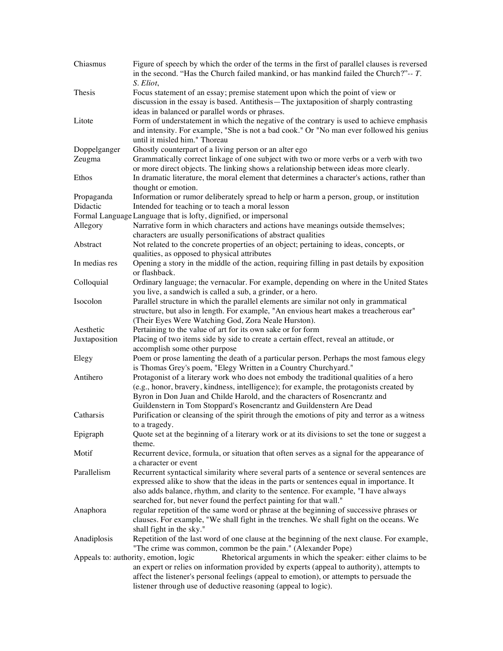| Chiasmus      | Figure of speech by which the order of the terms in the first of parallel clauses is reversed<br>in the second. "Has the Church failed mankind, or has mankind failed the Church?" $-$ - T.<br>S. Eliot,                                                                                                                                                           |
|---------------|--------------------------------------------------------------------------------------------------------------------------------------------------------------------------------------------------------------------------------------------------------------------------------------------------------------------------------------------------------------------|
| Thesis        | Focus statement of an essay; premise statement upon which the point of view or                                                                                                                                                                                                                                                                                     |
|               | discussion in the essay is based. Antithesis—The juxtaposition of sharply contrasting                                                                                                                                                                                                                                                                              |
|               | ideas in balanced or parallel words or phrases.                                                                                                                                                                                                                                                                                                                    |
| Litote        | Form of understatement in which the negative of the contrary is used to achieve emphasis<br>and intensity. For example, "She is not a bad cook." Or "No man ever followed his genius<br>until it misled him." Thoreau                                                                                                                                              |
| Doppelganger  | Ghostly counterpart of a living person or an alter ego                                                                                                                                                                                                                                                                                                             |
| Zeugma        | Grammatically correct linkage of one subject with two or more verbs or a verb with two                                                                                                                                                                                                                                                                             |
|               | or more direct objects. The linking shows a relationship between ideas more clearly.                                                                                                                                                                                                                                                                               |
| Ethos         | In dramatic literature, the moral element that determines a character's actions, rather than<br>thought or emotion.                                                                                                                                                                                                                                                |
| Propaganda    | Information or rumor deliberately spread to help or harm a person, group, or institution                                                                                                                                                                                                                                                                           |
| Didactic      | Intended for teaching or to teach a moral lesson                                                                                                                                                                                                                                                                                                                   |
|               | Formal Language Language that is lofty, dignified, or impersonal                                                                                                                                                                                                                                                                                                   |
| Allegory      | Narrative form in which characters and actions have meanings outside themselves;<br>characters are usually personifications of abstract qualities                                                                                                                                                                                                                  |
| Abstract      | Not related to the concrete properties of an object; pertaining to ideas, concepts, or<br>qualities, as opposed to physical attributes                                                                                                                                                                                                                             |
| In medias res | Opening a story in the middle of the action, requiring filling in past details by exposition<br>or flashback.                                                                                                                                                                                                                                                      |
| Colloquial    | Ordinary language; the vernacular. For example, depending on where in the United States<br>you live, a sandwich is called a sub, a grinder, or a hero.                                                                                                                                                                                                             |
| Isocolon      | Parallel structure in which the parallel elements are similar not only in grammatical                                                                                                                                                                                                                                                                              |
|               | structure, but also in length. For example, "An envious heart makes a treacherous ear"<br>(Their Eyes Were Watching God, Zora Neale Hurston).                                                                                                                                                                                                                      |
| Aesthetic     | Pertaining to the value of art for its own sake or for form                                                                                                                                                                                                                                                                                                        |
| Juxtaposition | Placing of two items side by side to create a certain effect, reveal an attitude, or                                                                                                                                                                                                                                                                               |
|               | accomplish some other purpose                                                                                                                                                                                                                                                                                                                                      |
| Elegy         | Poem or prose lamenting the death of a particular person. Perhaps the most famous elegy<br>is Thomas Grey's poem, "Elegy Written in a Country Churchyard."                                                                                                                                                                                                         |
| Antihero      | Protagonist of a literary work who does not embody the traditional qualities of a hero<br>(e.g., honor, bravery, kindness, intelligence); for example, the protagonists created by<br>Byron in Don Juan and Childe Harold, and the characters of Rosencrantz and                                                                                                   |
| Catharsis     | Guildenstern in Tom Stoppard's Rosencrantz and Guildenstern Are Dead<br>Purification or cleansing of the spirit through the emotions of pity and terror as a witness                                                                                                                                                                                               |
|               | to a tragedy.                                                                                                                                                                                                                                                                                                                                                      |
| Epigraph      | Quote set at the beginning of a literary work or at its divisions to set the tone or suggest a<br>theme.                                                                                                                                                                                                                                                           |
| Motif         | Recurrent device, formula, or situation that often serves as a signal for the appearance of<br>a character or event                                                                                                                                                                                                                                                |
| Parallelism   | Recurrent syntactical similarity where several parts of a sentence or several sentences are<br>expressed alike to show that the ideas in the parts or sentences equal in importance. It<br>also adds balance, rhythm, and clarity to the sentence. For example, "I have always<br>searched for, but never found the perfect painting for that wall."               |
| Anaphora      | regular repetition of the same word or phrase at the beginning of successive phrases or<br>clauses. For example, "We shall fight in the trenches. We shall fight on the oceans. We<br>shall fight in the sky."                                                                                                                                                     |
| Anadiplosis   | Repetition of the last word of one clause at the beginning of the next clause. For example,<br>"The crime was common, common be the pain." (Alexander Pope)                                                                                                                                                                                                        |
|               | Appeals to: authority, emotion, logic<br>Rhetorical arguments in which the speaker: either claims to be<br>an expert or relies on information provided by experts (appeal to authority), attempts to<br>affect the listener's personal feelings (appeal to emotion), or attempts to persuade the<br>listener through use of deductive reasoning (appeal to logic). |